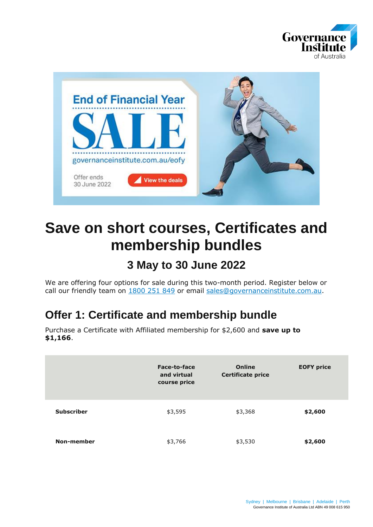



# **Save on short courses, Certificates and membership bundles**

# **3 May to 30 June 2022**

We are offering four options for sale during this two-month period. Register below or call our friendly team on [1800 251 849](tel:1800251849) or email [sales@governanceinstitute.com.au.](mailto:sales@governanceinstitute.com.au)

# **Offer 1: Certificate and membership bundle**

Purchase a Certificate with Affiliated membership for \$2,600 and **save up to \$1,166**.

|                   | Face-to-face<br>and virtual<br>course price | Online<br><b>Certificate price</b> | <b>EOFY price</b> |
|-------------------|---------------------------------------------|------------------------------------|-------------------|
| <b>Subscriber</b> | \$3,595                                     | \$3,368                            | \$2,600           |
| <b>Non-member</b> | \$3,766                                     | \$3,530                            | \$2,600           |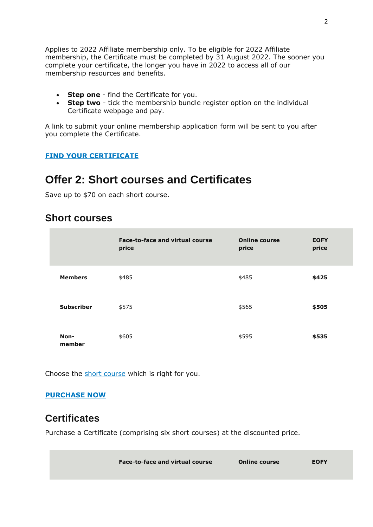Applies to 2022 Affiliate membership only. To be eligible for 2022 Affiliate membership, the Certificate must be completed by 31 August 2022. The sooner you complete your certificate, the longer you have in 2022 to access all of our membership resources and benefits.

- **Step one** find the Certificate for you.
- **Step two** tick the membership bundle register option on the individual Certificate webpage and pay.

A link to submit your online membership application form will be sent to you after you complete the Certificate.

### **[FIND YOUR CERTIFICATE](https://www.governanceinstitute.com.au/courses-events/short-courses-certificates/certificates/)**

## **Offer 2: Short courses and Certificates**

Save up to \$70 on each short course.

## **Short courses**

|                   | <b>Face-to-face and virtual course</b><br>price | <b>Online course</b><br>price | <b>EOFY</b><br>price |
|-------------------|-------------------------------------------------|-------------------------------|----------------------|
| <b>Members</b>    | \$485                                           | \$485                         | \$425                |
| <b>Subscriber</b> | \$575                                           | \$565                         | \$505                |
| Non-<br>member    | \$605                                           | \$595                         | \$535                |

Choose the [short course](https://www.governanceinstitute.com.au/%7BlocalLink:13675%7D) which is right for you.

#### **[PURCHASE NOW](https://www.governanceinstitute.com.au/courses-events/calendar-of-events?DateFrom=2022-05-03&DateTo=2022-11-03&CalendarType=ShortCourses)**

## **Certificates**

Purchase a Certificate (comprising six short courses) at the discounted price.

| <b>Face-to-face and virtual course</b> | <b>Online course</b> | <b>EOFY</b> |
|----------------------------------------|----------------------|-------------|
|                                        |                      |             |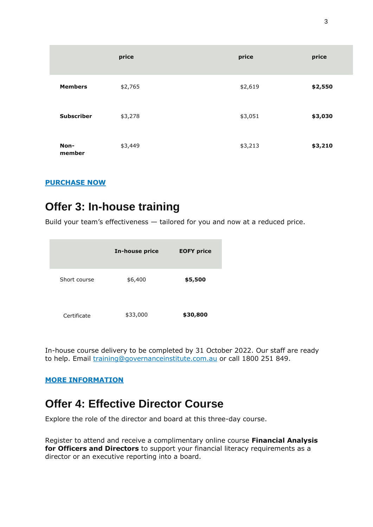|                   | price   | price   | price   |
|-------------------|---------|---------|---------|
| <b>Members</b>    | \$2,765 | \$2,619 | \$2,550 |
| <b>Subscriber</b> | \$3,278 | \$3,051 | \$3,030 |
| Non-<br>member    | \$3,449 | \$3,213 | \$3,210 |

### **[PURCHASE NOW](https://www.governanceinstitute.com.au/courses-events/short-courses-certificates/certificates/)**

# **Offer 3: In-house training**

Build your team's effectiveness — tailored for you and now at a reduced price.

|              | <b>In-house price</b> | <b>EOFY price</b> |
|--------------|-----------------------|-------------------|
| Short course | \$6,400               | \$5,500           |
| Certificate  | \$33,000              | \$30,800          |

In-house course delivery to be completed by 31 October 2022. Our staff are ready to help. Email [training@governanceinstitute.com.au](mailto:training@governanceinstitute.com.au) or call 1800 251 849.

### **[MORE INFORMATION](https://www.governanceinstitute.com.au/for-business/corporate-governance-solutions/in-house-training/)**

## **Offer 4: Effective Director Course**

Explore the role of the director and board at this three-day course.

Register to attend and receive a complimentary online course **Financial Analysis for Officers and Directors** to support your financial literacy requirements as a director or an executive reporting into a board.